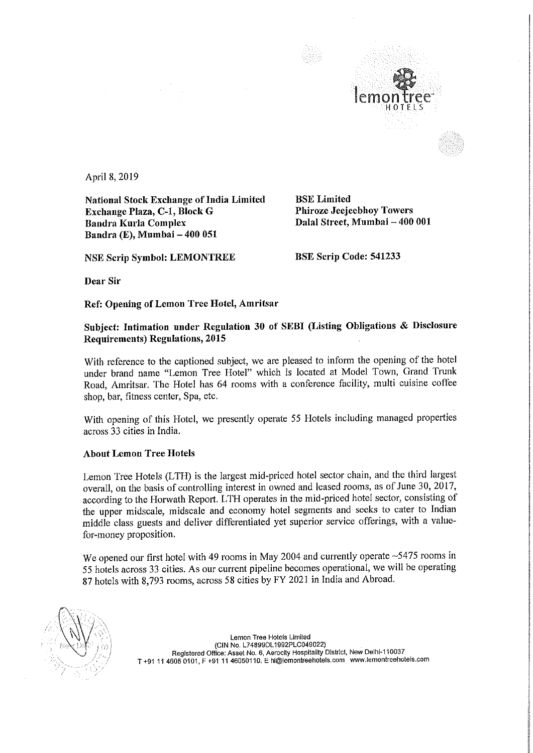

April 8, 2019

National Stock Exchange of India Limited<br>
BSE Limited<br>
Phiroze Jeejeebhoy Towers Exchange Plaza, C-1, Block G Bandra Kurla Complex Bandra (E), Mumbai — 400 051

NSE Scrip Symbol: LEMONTREE BSE Scrip Code: 541233

Dalal Street, Mumbai - 400 001

Dear Sir

Ref: Opening of Lemon Tree Hotel, Amritsar

## Subject: Intimation under Regulation <sup>30</sup> of SEBI (Listing Obligations & Disclosure Requirements) Regulations, 2015

With reference to the captioned subject, we are pleased to inform the opening of the hotel under brand name "Lemon Tree Hotel" which is located at Model Town, Grand Trunk Road, Amritsar. The Hotel has <sup>64</sup> rooms with <sup>a</sup> conference facility, multi cuisine coffee shop, bar, fitness center, Spa, etc.

With opening of this Hotel, we presently operate <sup>55</sup> Hotels including managed properties across 33 cities in India.

## About Lemon Tree Hotels

Lemon Tree Hotels (LTH) is the largest mid—priced hotel sector chain, and the third largest overall, on the basis of controlling interest in owned and leased rooms, as of June 30, 2017, according to the Horwath Report. LTH operates in the mid-priced hotel sector, consisting of the upper midscale, midscale and economy hotel segments and seeks to cater to Indian middle class guests and deliver differentiated yet superior service offerings, with <sup>a</sup> valuefor-money proposition.

We opened our first hotel with 49 rooms in May 2004 and currently operate ~5475 rooms in <sup>55</sup> hotels across <sup>33</sup> cities. As our current pipeline becomes operational, we will be operating <sup>87</sup> hotels with 8,793 rooms, across <sup>58</sup> cities by FY <sup>2021</sup> in India and Abroad.



Lemon Tree Hotels Limited (ClN No. L748990L1992PLCO49022) Registered Office: Asset No. 6, Aerocity Hospitality District, New Delhi-110037 T +91 <sup>11</sup> 4605 0101, <sup>F</sup> +91 <sup>11</sup> 46050110. <sup>E</sup> hi@lemontreehotels.com www.lemonireeholels.com